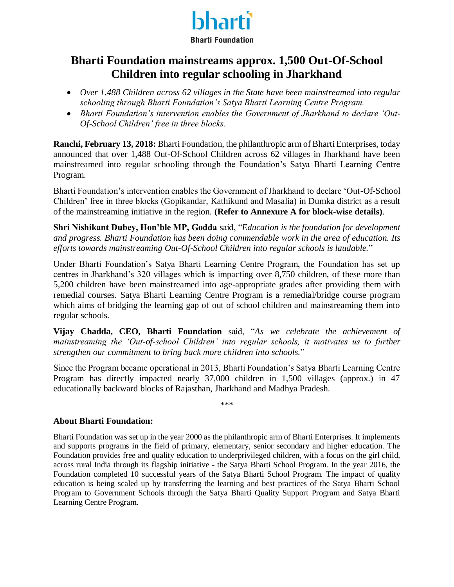

### **Bharti Foundation mainstreams approx. 1,500 Out-Of-School Children into regular schooling in Jharkhand**

- *Over 1,488 Children across 62 villages in the State have been mainstreamed into regular schooling through Bharti Foundation's Satya Bharti Learning Centre Program.*
- *Bharti Foundation's intervention enables the Government of Jharkhand to declare 'Out-Of-School Children' free in three blocks.*

**Ranchi, February 13, 2018:** Bharti Foundation, the philanthropic arm of Bharti Enterprises, today announced that over 1,488 Out-Of-School Children across 62 villages in Jharkhand have been mainstreamed into regular schooling through the Foundation's Satya Bharti Learning Centre Program.

Bharti Foundation's intervention enables the Government of Jharkhand to declare 'Out-Of-School Children' free in three blocks (Gopikandar, Kathikund and Masalia) in Dumka district as a result of the mainstreaming initiative in the region. **(Refer to Annexure A for block-wise details)**.

**Shri Nishikant Dubey, Hon'ble MP, Godda** said, "*Education is the foundation for development and progress. Bharti Foundation has been doing commendable work in the area of education. Its efforts towards mainstreaming Out-Of-School Children into regular schools is laudable.*"

Under Bharti Foundation's Satya Bharti Learning Centre Program, the Foundation has set up centres in Jharkhand's 320 villages which is impacting over 8,750 children, of these more than 5,200 children have been mainstreamed into age-appropriate grades after providing them with remedial courses. Satya Bharti Learning Centre Program is a remedial/bridge course program which aims of bridging the learning gap of out of school children and mainstreaming them into regular schools.

**Vijay Chadda, CEO, Bharti Foundation** said, "*As we celebrate the achievement of mainstreaming the 'Out-of-school Children' into regular schools, it motivates us to further strengthen our commitment to bring back more children into schools.*"

Since the Program became operational in 2013, Bharti Foundation's Satya Bharti Learning Centre Program has directly impacted nearly 37,000 children in 1,500 villages (approx.) in 47 educationally backward blocks of Rajasthan, Jharkhand and Madhya Pradesh.

\*\*\*

#### **About Bharti Foundation:**

Bharti Foundation was set up in the year 2000 as the philanthropic arm of Bharti Enterprises. It implements and supports programs in the field of primary, elementary, senior secondary and higher education. The Foundation provides free and quality education to underprivileged children, with a focus on the girl child, across rural India through its flagship initiative - the Satya Bharti School Program. In the year 2016, the Foundation completed 10 successful years of the Satya Bharti School Program. The impact of quality education is being scaled up by transferring the learning and best practices of the Satya Bharti School Program to Government Schools through the Satya Bharti Quality Support Program and Satya Bharti Learning Centre Program.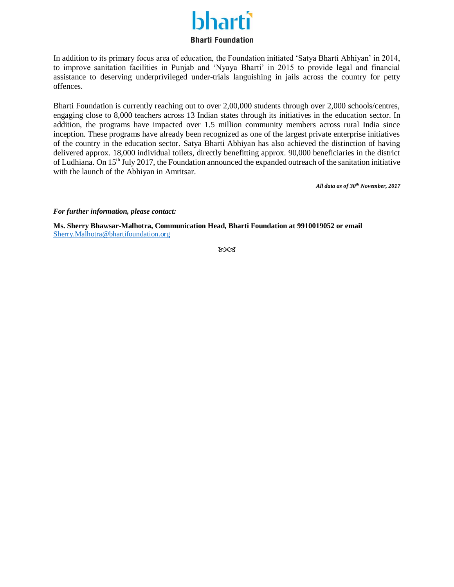# narti

#### **Bharti Foundation**

In addition to its primary focus area of education, the Foundation initiated 'Satya Bharti Abhiyan' in 2014, to improve sanitation facilities in Punjab and 'Nyaya Bharti' in 2015 to provide legal and financial assistance to deserving underprivileged under-trials languishing in jails across the country for petty offences.

Bharti Foundation is currently reaching out to over 2,00,000 students through over 2,000 schools/centres, engaging close to 8,000 teachers across 13 Indian states through its initiatives in the education sector. In addition, the programs have impacted over 1.5 million community members across rural India since inception. These programs have already been recognized as one of the largest private enterprise initiatives of the country in the education sector. Satya Bharti Abhiyan has also achieved the distinction of having delivered approx. 18,000 individual toilets, directly benefitting approx. 90,000 beneficiaries in the district of Ludhiana. On 15<sup>th</sup> July 2017, the Foundation announced the expanded outreach of the sanitation initiative with the launch of the Abhiyan in Amritsar.

*All data as of 30th November, 2017*

*For further information, please contact:*

**Ms. Sherry Bhawsar-Malhotra, Communication Head, Bharti Foundation at 9910019052 or email**  [Sherry.Malhotra@bhartifoundation.org](mailto:Sherry.Malhotra@bhartifoundation.org)

ಏಡ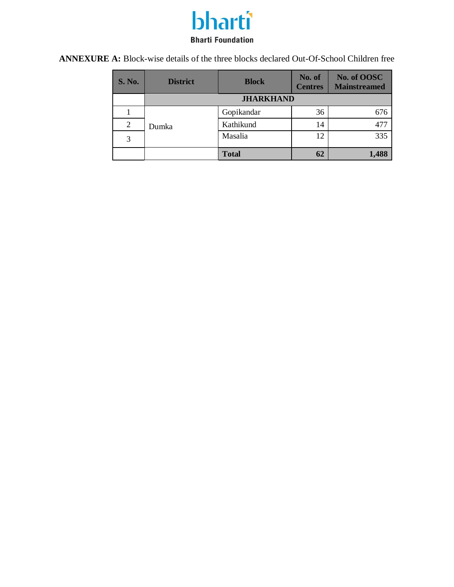## bharti **Bharti Foundation**

**ANNEXURE A:** Block-wise details of the three blocks declared Out-Of-School Children free

| <b>S. No.</b> | <b>District</b>  | <b>Block</b> | No. of<br><b>Centres</b> | No. of OOSC<br><b>Mainstreamed</b> |  |
|---------------|------------------|--------------|--------------------------|------------------------------------|--|
|               | <b>JHARKHAND</b> |              |                          |                                    |  |
|               |                  | Gopikandar   | 36                       | 676                                |  |
| 2             | Dumka            | Kathikund    | 14                       | 477                                |  |
| 3             |                  | Masalia      | 12                       | 335                                |  |
|               |                  | <b>Total</b> | 62                       | 1,488                              |  |